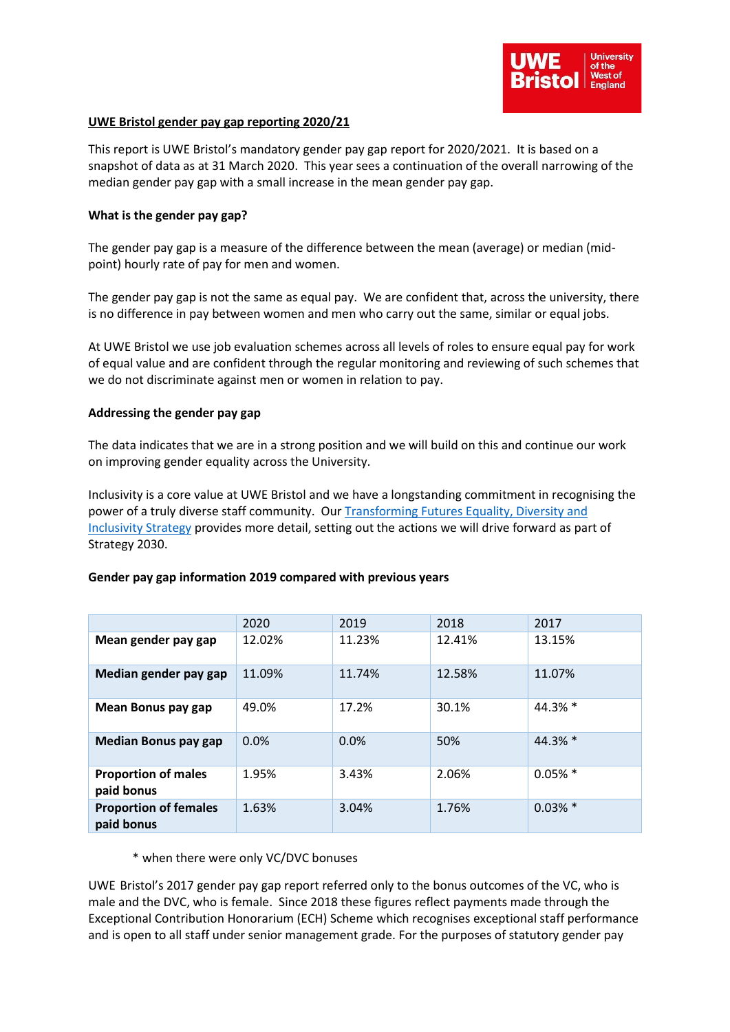

## **UWE Bristol gender pay gap reporting 2020/21**

This report is UWE Bristol's mandatory gender pay gap report for 2020/2021. It is based on a snapshot of data as at 31 March 2020. This year sees a continuation of the overall narrowing of the median gender pay gap with a small increase in the mean gender pay gap.

### **What is the gender pay gap?**

The gender pay gap is a measure of the difference between the mean (average) or median (midpoint) hourly rate of pay for men and women.

The gender pay gap is not the same as equal pay. We are confident that, across the university, there is no difference in pay between women and men who carry out the same, similar or equal jobs.

At UWE Bristol we use job evaluation schemes across all levels of roles to ensure equal pay for work of equal value and are confident through the regular monitoring and reviewing of such schemes that we do not discriminate against men or women in relation to pay.

#### **Addressing the gender pay gap**

The data indicates that we are in a strong position and we will build on this and continue our work on improving gender equality across the University.

Inclusivity is a core value at UWE Bristol and we have a longstanding commitment in recognising the power of a truly diverse staff community. Our [Transforming Futures Equality, Diversity and](https://intranet.uwe.ac.uk/about-uwe-bristol/our-strategy/equality-diversity-and-inclusivity)  [Inclusivity Strategy](https://intranet.uwe.ac.uk/about-uwe-bristol/our-strategy/equality-diversity-and-inclusivity) provides more detail, setting out the actions we will drive forward as part of Strategy 2030.

## **Gender pay gap information 2019 compared with previous years**

|                                            | 2020   | 2019   | 2018   | 2017       |
|--------------------------------------------|--------|--------|--------|------------|
| Mean gender pay gap                        | 12.02% | 11.23% | 12.41% | 13.15%     |
| Median gender pay gap                      | 11.09% | 11.74% | 12.58% | 11.07%     |
| Mean Bonus pay gap                         | 49.0%  | 17.2%  | 30.1%  | 44.3% *    |
| <b>Median Bonus pay gap</b>                | 0.0%   | 0.0%   | 50%    | 44.3% *    |
| <b>Proportion of males</b><br>paid bonus   | 1.95%  | 3.43%  | 2.06%  | $0.05\%$ * |
| <b>Proportion of females</b><br>paid bonus | 1.63%  | 3.04%  | 1.76%  | $0.03\%$ * |

#### \* when there were only VC/DVC bonuses

UWE Bristol's 2017 gender pay gap report referred only to the bonus outcomes of the VC, who is male and the DVC, who is female. Since 2018 these figures reflect payments made through the Exceptional Contribution Honorarium (ECH) Scheme which recognises exceptional staff performance and is open to all staff under senior management grade. For the purposes of statutory gender pay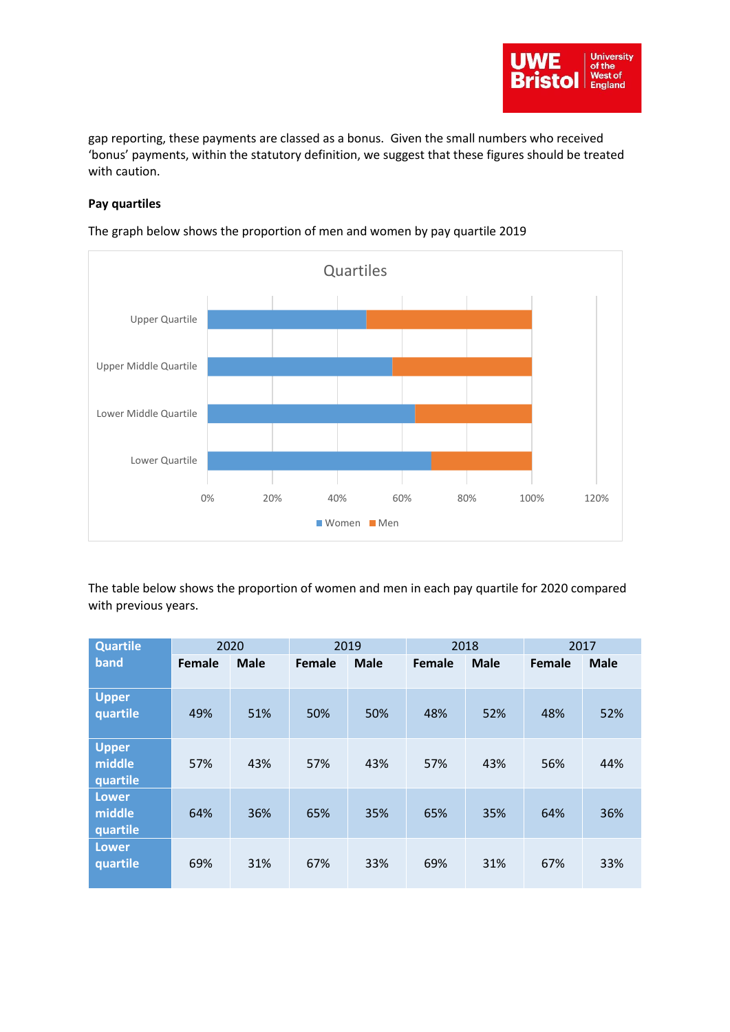

gap reporting, these payments are classed as a bonus. Given the small numbers who received 'bonus' payments, within the statutory definition, we suggest that these figures should be treated with caution.

# **Pay quartiles**



The graph below shows the proportion of men and women by pay quartile 2019

The table below shows the proportion of women and men in each pay quartile for 2020 compared with previous years.

| <b>Quartile</b><br>band            | 2020   |             | 2019   |             | 2018   |             | 2017   |             |
|------------------------------------|--------|-------------|--------|-------------|--------|-------------|--------|-------------|
|                                    | Female | <b>Male</b> | Female | <b>Male</b> | Female | <b>Male</b> | Female | <b>Male</b> |
| <b>Upper</b><br>quartile           | 49%    | 51%         | 50%    | 50%         | 48%    | 52%         | 48%    | 52%         |
| <b>Upper</b><br>middle<br>quartile | 57%    | 43%         | 57%    | 43%         | 57%    | 43%         | 56%    | 44%         |
| <b>Lower</b><br>middle<br>quartile | 64%    | 36%         | 65%    | 35%         | 65%    | 35%         | 64%    | 36%         |
| <b>Lower</b><br>quartile           | 69%    | 31%         | 67%    | 33%         | 69%    | 31%         | 67%    | 33%         |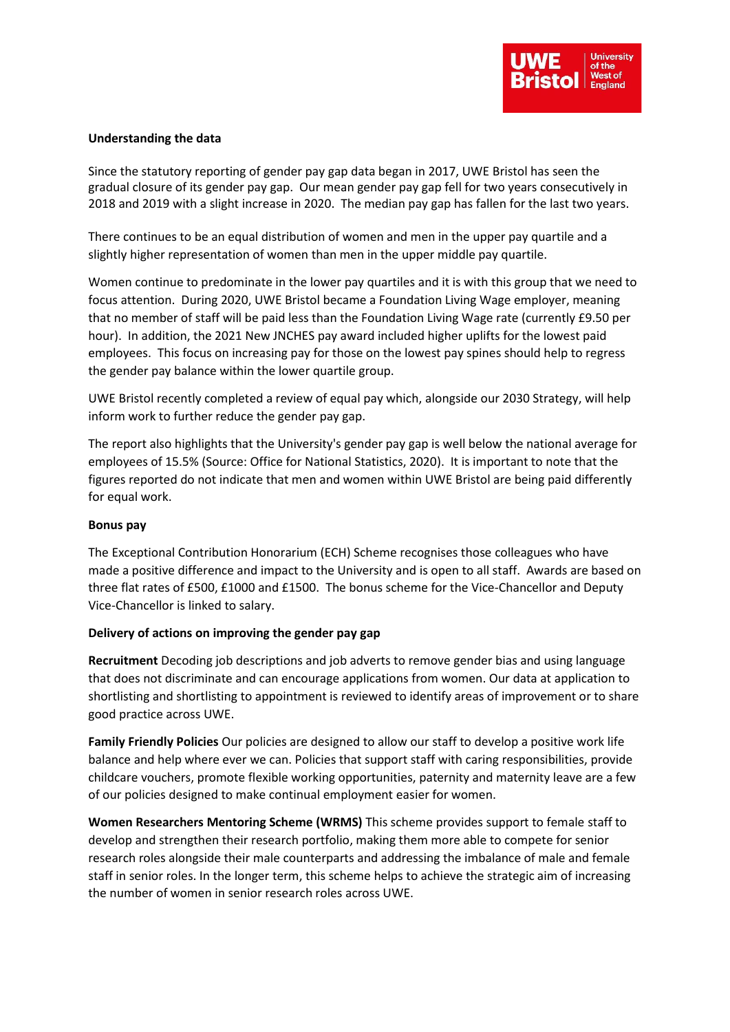

## **Understanding the data**

Since the statutory reporting of gender pay gap data began in 2017, UWE Bristol has seen the gradual closure of its gender pay gap. Our mean gender pay gap fell for two years consecutively in 2018 and 2019 with a slight increase in 2020. The median pay gap has fallen for the last two years.

There continues to be an equal distribution of women and men in the upper pay quartile and a slightly higher representation of women than men in the upper middle pay quartile.

Women continue to predominate in the lower pay quartiles and it is with this group that we need to focus attention. During 2020, UWE Bristol became a Foundation Living Wage employer, meaning that no member of staff will be paid less than the Foundation Living Wage rate (currently £9.50 per hour). In addition, the 2021 New JNCHES pay award included higher uplifts for the lowest paid employees. This focus on increasing pay for those on the lowest pay spines should help to regress the gender pay balance within the lower quartile group.

UWE Bristol recently completed a review of equal pay which, alongside our 2030 Strategy, will help inform work to further reduce the gender pay gap.

The report also highlights that the University's gender pay gap is well below the national average for employees of 15.5% (Source: Office for National Statistics, 2020). It is important to note that the figures reported do not indicate that men and women within UWE Bristol are being paid differently for equal work.

## **Bonus pay**

The Exceptional Contribution Honorarium (ECH) Scheme recognises those colleagues who have made a positive difference and impact to the University and is open to all staff. Awards are based on three flat rates of £500, £1000 and £1500. The bonus scheme for the Vice-Chancellor and Deputy Vice-Chancellor is linked to salary.

## **Delivery of actions on improving the gender pay gap**

**Recruitment** Decoding job descriptions and job adverts to remove gender bias and using language that does not discriminate and can encourage applications from women. Our data at application to shortlisting and shortlisting to appointment is reviewed to identify areas of improvement or to share good practice across UWE.

**Family Friendly Policies** Our policies are designed to allow our staff to develop a positive work life balance and help where ever we can. Policies that support staff with caring responsibilities, provide childcare vouchers, promote flexible working opportunities, paternity and maternity leave are a few of our policies designed to make continual employment easier for women.

**Women Researchers Mentoring Scheme (WRMS)** This scheme provides support to female staff to develop and strengthen their research portfolio, making them more able to compete for senior research roles alongside their male counterparts and addressing the imbalance of male and female staff in senior roles. In the longer term, this scheme helps to achieve the strategic aim of increasing the number of women in senior research roles across UWE.